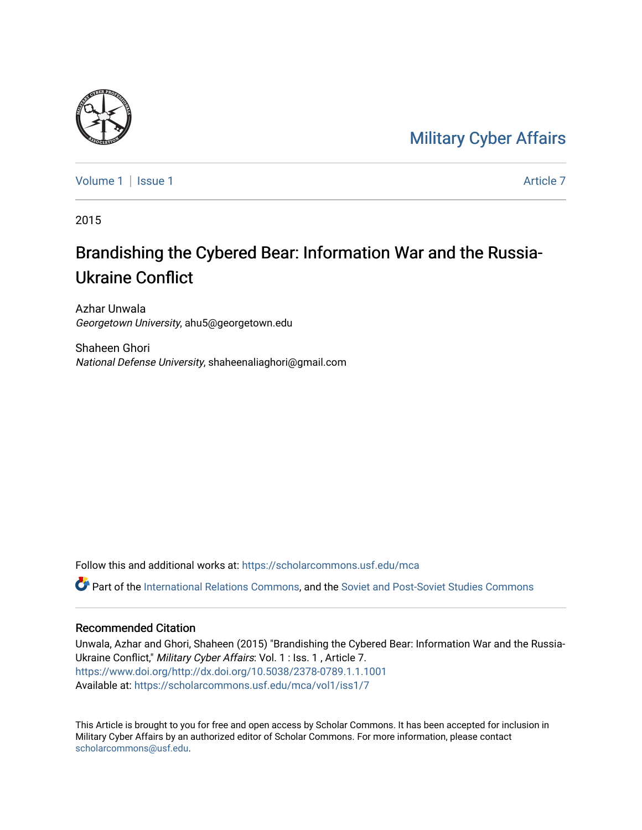### [Military Cyber Affairs](https://scholarcommons.usf.edu/mca)



[Volume 1](https://scholarcommons.usf.edu/mca/vol1) | [Issue 1](https://scholarcommons.usf.edu/mca/vol1/iss1) Article 7

2015

# Brandishing the Cybered Bear: Information War and the Russia-Ukraine Conflict

Azhar Unwala Georgetown University, ahu5@georgetown.edu

Shaheen Ghori National Defense University, shaheenaliaghori@gmail.com

Follow this and additional works at: [https://scholarcommons.usf.edu/mca](https://scholarcommons.usf.edu/mca?utm_source=scholarcommons.usf.edu%2Fmca%2Fvol1%2Fiss1%2F7&utm_medium=PDF&utm_campaign=PDFCoverPages) Part of the [International Relations Commons,](http://network.bepress.com/hgg/discipline/389?utm_source=scholarcommons.usf.edu%2Fmca%2Fvol1%2Fiss1%2F7&utm_medium=PDF&utm_campaign=PDFCoverPages) and the [Soviet and Post-Soviet Studies Commons](http://network.bepress.com/hgg/discipline/364?utm_source=scholarcommons.usf.edu%2Fmca%2Fvol1%2Fiss1%2F7&utm_medium=PDF&utm_campaign=PDFCoverPages)

## Recommended Citation

Unwala, Azhar and Ghori, Shaheen (2015) "Brandishing the Cybered Bear: Information War and the Russia-Ukraine Conflict," Military Cyber Affairs: Vol. 1 : Iss. 1, Article 7. [https://www.doi.org/http://dx.doi.org/10.5038/2378-0789.1.1.1001](https://doi.org/http://dx.doi.org/10.5038/2378-0789.1.1.1001) Available at: [https://scholarcommons.usf.edu/mca/vol1/iss1/7](https://scholarcommons.usf.edu/mca/vol1/iss1/7?utm_source=scholarcommons.usf.edu%2Fmca%2Fvol1%2Fiss1%2F7&utm_medium=PDF&utm_campaign=PDFCoverPages)

This Article is brought to you for free and open access by Scholar Commons. It has been accepted for inclusion in Military Cyber Affairs by an authorized editor of Scholar Commons. For more information, please contact [scholarcommons@usf.edu.](mailto:scholarcommons@usf.edu)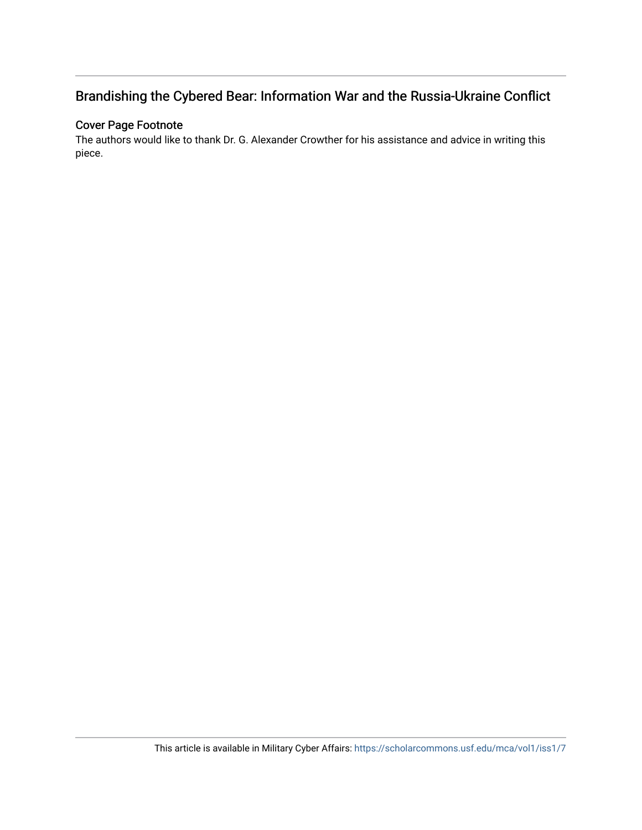### Brandishing the Cybered Bear: Information War and the Russia-Ukraine Conflict

### Cover Page Footnote

The authors would like to thank Dr. G. Alexander Crowther for his assistance and advice in writing this piece.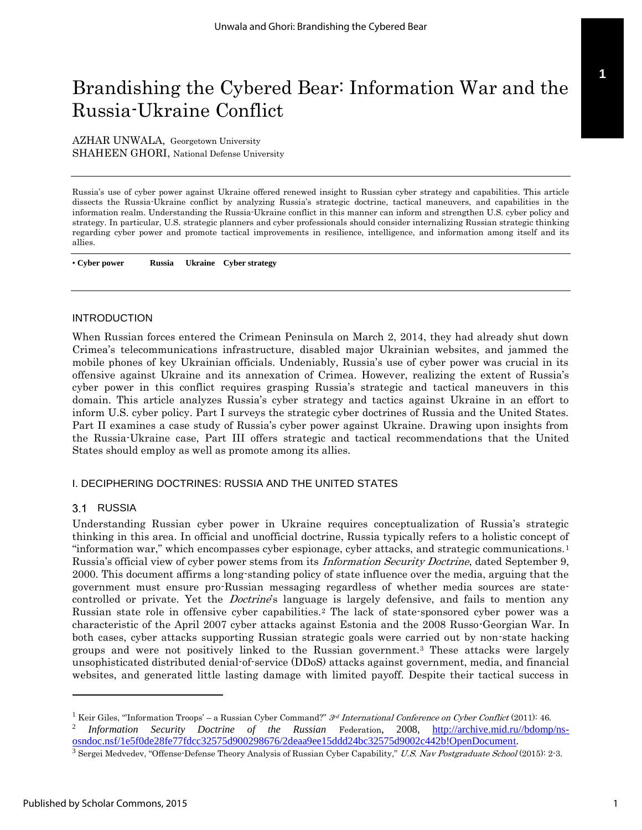## Brandishing the Cybered Bear: Information War and the Russia-Ukraine Conflict

AZHAR UNWALA, Georgetown University SHAHEEN GHORI, National Defense University

Russia's use of cyber power against Ukraine offered renewed insight to Russian cyber strategy and capabilities. This article dissects the Russia-Ukraine conflict by analyzing Russia's strategic doctrine, tactical maneuvers, and capabilities in the information realm. Understanding the Russia-Ukraine conflict in this manner can inform and strengthen U.S. cyber policy and strategy. In particular, U.S. strategic planners and cyber professionals should consider internalizing Russian strategic thinking regarding cyber power and promote tactical improvements in resilience, intelligence, and information among itself and its allies.

• **Cyber power Russia Ukraine Cyber strategy**

#### INTRODUCTION

When Russian forces entered the Crimean Peninsula on March 2, 2014, they had already shut down Crimea's telecommunications infrastructure, disabled major Ukrainian websites, and jammed the mobile phones of key Ukrainian officials. Undeniably, Russia's use of cyber power was crucial in its offensive against Ukraine and its annexation of Crimea. However, realizing the extent of Russia's cyber power in this conflict requires grasping Russia's strategic and tactical maneuvers in this domain. This article analyzes Russia's cyber strategy and tactics against Ukraine in an effort to inform U.S. cyber policy. Part I surveys the strategic cyber doctrines of Russia and the United States. Part II examines a case study of Russia's cyber power against Ukraine. Drawing upon insights from the Russia-Ukraine case, Part III offers strategic and tactical recommendations that the United States should employ as well as promote among its allies.

#### I. DECIPHERING DOCTRINES: RUSSIA AND THE UNITED STATES

#### 3.1 RUSSIA

Understanding Russian cyber power in Ukraine requires conceptualization of Russia's strategic thinking in this area. In official and unofficial doctrine, Russia typically refers to a holistic concept of "information war," which encompasses cyber espionage, cyber attacks, and strategic communications.<sup>1</sup> Russia's official view of cyber power stems from its *Information Security Doctrine*, dated September 9, 2000. This document affirms a long-standing policy of state influence over the media, arguing that the government must ensure pro-Russian messaging regardless of whether media sources are statecontrolled or private. Yet the *Doctrine's* language is largely defensive, and fails to mention any Russian state role in offensive cyber capabilities.<sup>2</sup> The lack of state-sponsored cyber power was a characteristic of the April 2007 cyber attacks against Estonia and the 2008 Russo-Georgian War. In both cases, cyber attacks supporting Russian strategic goals were carried out by non-state hacking groups and were not positively linked to the Russian government.<sup>3</sup> These attacks were largely unsophisticated distributed denial-of-service (DDoS) attacks against government, media, and financial websites, and generated little lasting damage with limited payoff. Despite their tactical success in

[osndoc.nsf/1e5f0de28fe77fdcc32575d900298676/2deaa9ee15ddd24bc32575d9002c442b!OpenDocument.](http://archive.mid.ru/bdomp/ns-osndoc.nsf/1e5f0de28fe77fdcc32575d900298676/2deaa9ee15ddd24bc32575d9002c442b!OpenDocument)

<sup>&</sup>lt;sup>1</sup> Keir Giles, "Information Troops' – a Russian Cyber Command?"  $3rd$  International Conference on Cyber Conflict (2011): 46. 2 *Information Security Doctrine of the Russian* Federation, 2008, [http://archive.mid.ru//bdomp/ns-](http://archive.mid.ru/bdomp/ns-osndoc.nsf/1e5f0de28fe77fdcc32575d900298676/2deaa9ee15ddd24bc32575d9002c442b!OpenDocument)

<sup>&</sup>lt;sup>3</sup> Sergei Medvedev, "Offense-Defense Theory Analysis of Russian Cyber Capability," U.S. Nav Postgraduate School (2015): 2-3.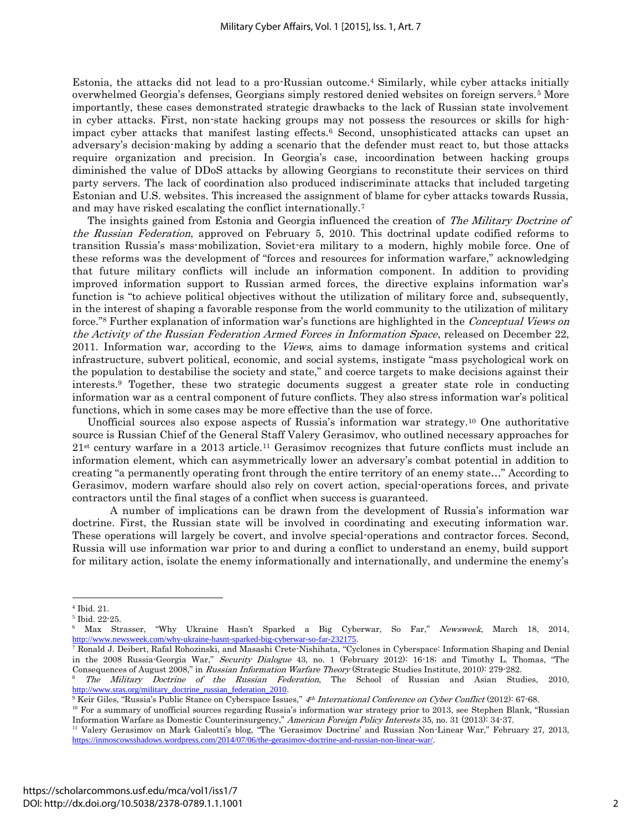Estonia, the attacks did not lead to a pro-Russian outcome.<sup>4</sup> Similarly, while cyber attacks initially overwhelmed Georgia's defenses, Georgians simply restored denied websites on foreign servers.<sup>5</sup> More importantly, these cases demonstrated strategic drawbacks to the lack of Russian state involvement in cyber attacks. First, non-state hacking groups may not possess the resources or skills for highimpact cyber attacks that manifest lasting effects.<sup>6</sup> Second, unsophisticated attacks can upset an adversary's decision-making by adding a scenario that the defender must react to, but those attacks require organization and precision. In Georgia's case, incoordination between hacking groups diminished the value of DDoS attacks by allowing Georgians to reconstitute their services on third party servers. The lack of coordination also produced indiscriminate attacks that included targeting Estonian and U.S. websites. This increased the assignment of blame for cyber attacks towards Russia, and may have risked escalating the conflict internationally.<sup>7</sup>

The insights gained from Estonia and Georgia influenced the creation of The Military Doctrine of the Russian Federation, approved on February 5, 2010. This doctrinal update codified reforms to transition Russia's mass-mobilization, Soviet-era military to a modern, highly mobile force. One of these reforms was the development of "forces and resources for information warfare," acknowledging that future military conflicts will include an information component. In addition to providing improved information support to Russian armed forces, the directive explains information war's function is "to achieve political objectives without the utilization of military force and, subsequently, in the interest of shaping a favorable response from the world community to the utilization of military force."<sup>8</sup> Further explanation of information war's functions are highlighted in the *Conceptual Views on* the Activity of the Russian Federation Armed Forces in Information Space, released on December 22, 2011. Information war, according to the *Views*, aims to damage information systems and critical infrastructure, subvert political, economic, and social systems, instigate "mass psychological work on the population to destabilise the society and state," and coerce targets to make decisions against their interests.<sup>9</sup> Together, these two strategic documents suggest a greater state role in conducting information war as a central component of future conflicts. They also stress information war's political functions, which in some cases may be more effective than the use of force.

Unofficial sources also expose aspects of Russia's information war strategy.<sup>10</sup> One authoritative source is Russian Chief of the General Staff Valery Gerasimov, who outlined necessary approaches for  $21<sup>st</sup>$  century warfare in a 2013 article.<sup>11</sup> Gerasimov recognizes that future conflicts must include an information element, which can asymmetrically lower an adversary's combat potential in addition to creating "a permanently operating front through the entire territory of an enemy state…" According to Gerasimov, modern warfare should also rely on covert action, special-operations forces, and private contractors until the final stages of a conflict when success is guaranteed.

A number of implications can be drawn from the development of Russia's information war doctrine. First, the Russian state will be involved in coordinating and executing information war. These operations will largely be covert, and involve special-operations and contractor forces. Second, Russia will use information war prior to and during a conflict to understand an enemy, build support for military action, isolate the enemy informationally and internationally, and undermine the enemy's

<sup>4</sup> Ibid. 21.

<sup>5</sup> Ibid. 22-25.

<sup>6</sup> Max Strasser, "Why Ukraine Hasn't Sparked a Big Cyberwar, So Far," Newsweek, March 18, 2014, <http://www.newsweek.com/why-ukraine-hasnt-sparked-big-cyberwar-so-far-232175>.

<sup>7</sup> Ronald J. Deibert, Rafal Rohozinski, and Masashi Crete-Nishihata, "Cyclones in Cyberspace: Information Shaping and Denial in the 2008 Russia-Georgia War," Security Dialogue 43, no. 1 (February 2012): 16-18; and Timothy L. Thomas, "The Consequences of August 2008," in Russian Information Warfare Theory (Strategic Studies Institute, 2010): 279-282.

<sup>8</sup> The Military Doctrine of the Russian Federation, The School of Russian and Asian Studies, 2010, [http://www.sras.org/military\\_doctrine\\_russian\\_federation\\_2010](http://www.sras.org/military_doctrine_russian_federation_2010).

<sup>&</sup>lt;sup>9</sup> Keir Giles, "Russia's Public Stance on Cyberspace Issues," 4th International Conference on Cyber Conflict (2012): 67-68.

<sup>10</sup> For a summary of unofficial sources regarding Russia's information war strategy prior to 2013, see Stephen Blank, "Russian Information Warfare as Domestic Counterinsurgency," American Foreign Policy Interests 35, no. 31 (2013): 34-37.

<sup>11</sup> Valery Gerasimov on Mark Galeotti's blog, "The 'Gerasimov Doctrine' and Russian Non-Linear War," February 27, 2013, <https://inmoscowsshadows.wordpress.com/2014/07/06/the-gerasimov-doctrine-and-russian-non-linear-war/>.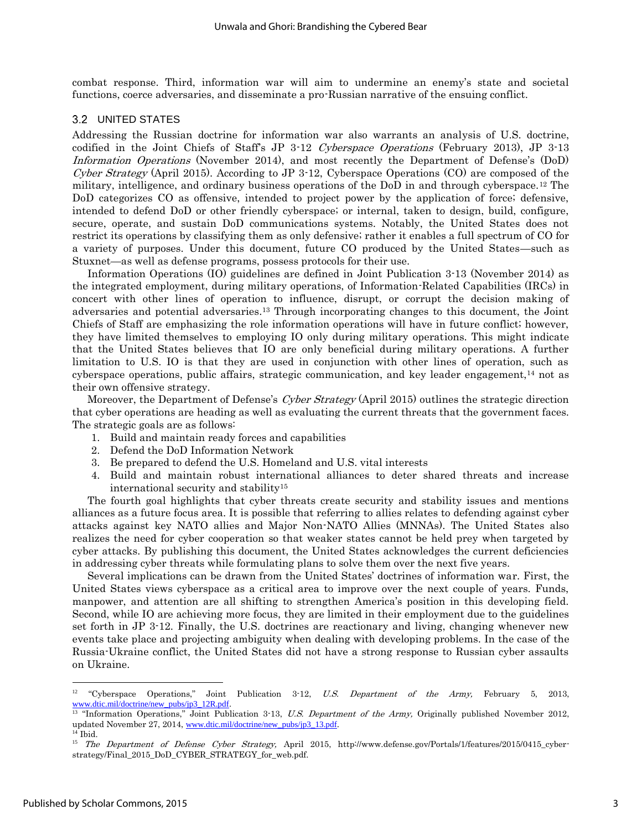combat response. Third, information war will aim to undermine an enemy's state and societal functions, coerce adversaries, and disseminate a pro-Russian narrative of the ensuing conflict.

#### $3.2$ UNITED STATES

Addressing the Russian doctrine for information war also warrants an analysis of U.S. doctrine, codified in the Joint Chiefs of Staff's JP 3-12 Cyberspace Operations (February 2013), JP 3-13 Information Operations (November 2014), and most recently the Department of Defense's (DoD) Cyber Strategy (April 2015). According to JP 3-12, Cyberspace Operations (CO) are composed of the military, intelligence, and ordinary business operations of the DoD in and through cyberspace.<sup>12</sup> The DoD categorizes CO as offensive, intended to project power by the application of force; defensive, intended to defend DoD or other friendly cyberspace; or internal, taken to design, build, configure, secure, operate, and sustain DoD communications systems. Notably, the United States does not restrict its operations by classifying them as only defensive; rather it enables a full spectrum of CO for a variety of purposes. Under this document, future CO produced by the United States—such as Stuxnet—as well as defense programs, possess protocols for their use.

Information Operations (IO) guidelines are defined in Joint Publication 3-13 (November 2014) as the integrated employment, during military operations, of Information-Related Capabilities (IRCs) in concert with other lines of operation to influence, disrupt, or corrupt the decision making of adversaries and potential adversaries.<sup>13</sup> Through incorporating changes to this document, the Joint Chiefs of Staff are emphasizing the role information operations will have in future conflict; however, they have limited themselves to employing IO only during military operations. This might indicate that the United States believes that IO are only beneficial during military operations. A further limitation to U.S. IO is that they are used in conjunction with other lines of operation, such as cyberspace operations, public affairs, strategic communication, and key leader engagement, $14$  not as their own offensive strategy.

Moreover, the Department of Defense's Cyber Strategy (April 2015) outlines the strategic direction that cyber operations are heading as well as evaluating the current threats that the government faces. The strategic goals are as follows:

- 1. Build and maintain ready forces and capabilities
- 2. Defend the DoD Information Network
- 3. Be prepared to defend the U.S. Homeland and U.S. vital interests
- 4. Build and maintain robust international alliances to deter shared threats and increase international security and stability<sup>15</sup>

The fourth goal highlights that cyber threats create security and stability issues and mentions alliances as a future focus area. It is possible that referring to allies relates to defending against cyber attacks against key NATO allies and Major Non-NATO Allies (MNNAs). The United States also realizes the need for cyber cooperation so that weaker states cannot be held prey when targeted by cyber attacks. By publishing this document, the United States acknowledges the current deficiencies in addressing cyber threats while formulating plans to solve them over the next five years.

Several implications can be drawn from the United States' doctrines of information war. First, the United States views cyberspace as a critical area to improve over the next couple of years. Funds, manpower, and attention are all shifting to strengthen America's position in this developing field. Second, while IO are achieving more focus, they are limited in their employment due to the guidelines set forth in JP 3-12. Finally, the U.S. doctrines are reactionary and living, changing whenever new events take place and projecting ambiguity when dealing with developing problems. In the case of the Russia-Ukraine conflict, the United States did not have a strong response to Russian cyber assaults on Ukraine.

<sup>&</sup>lt;sup>12</sup> "Cyberspace Operations," Joint Publication 3-12, *U.S. Department of the Army,* February 5, 2013, [www.dtic.mil/doctrine/new\\_pubs/jp3\\_12R.pdf](http://www.dtic.mil/doctrine/new_pubs/jp3_12R.pdf).

<sup>&</sup>lt;sup>13</sup> "Information Operations," Joint Publication 3-13, *U.S. Department of the Army*, Originally published November 2012, updated November 27, 2014, [www.dtic.mil/doctrine/new\\_pubs/jp3\\_13.pdf](http://www.dtic.mil/doctrine/new_pubs/jp3_13.pdf).

<sup>14</sup> Ibid.

<sup>&</sup>lt;sup>15</sup> The Department of Defense Cyber Strategy, April 2015, http://www.defense.gov/Portals/1/features/2015/0415\_cyberstrategy/Final\_2015\_DoD\_CYBER\_STRATEGY\_for\_web.pdf.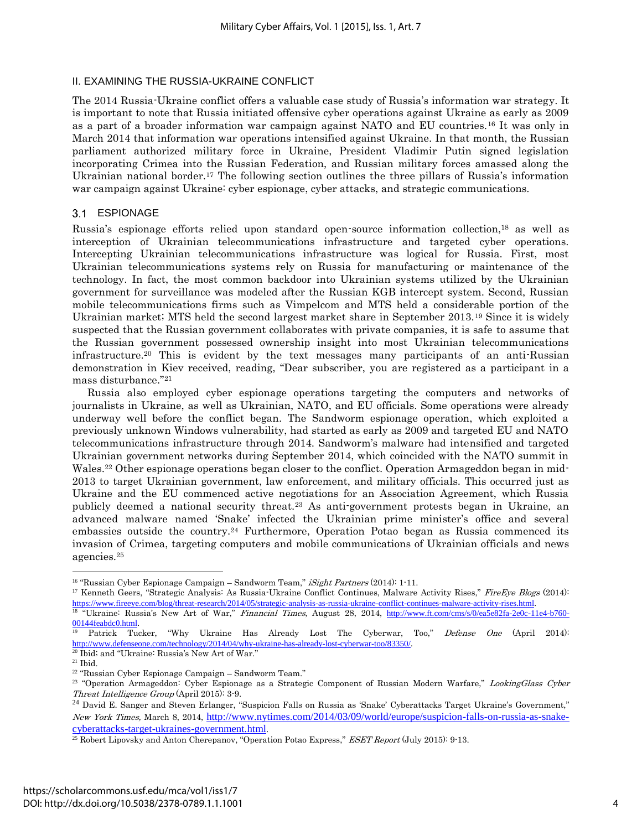#### II. EXAMINING THE RUSSIA-UKRAINE CONFLICT

The 2014 Russia-Ukraine conflict offers a valuable case study of Russia's information war strategy. It is important to note that Russia initiated offensive cyber operations against Ukraine as early as 2009 as a part of a broader information war campaign against NATO and EU countries.<sup>16</sup> It was only in March 2014 that information war operations intensified against Ukraine. In that month, the Russian parliament authorized military force in Ukraine, President Vladimir Putin signed legislation incorporating Crimea into the Russian Federation, and Russian military forces amassed along the Ukrainian national border.<sup>17</sup> The following section outlines the three pillars of Russia's information war campaign against Ukraine: cyber espionage, cyber attacks, and strategic communications.

#### 3.1 ESPIONAGE

Russia's espionage efforts relied upon standard open-source information collection,<sup>18</sup> as well as interception of Ukrainian telecommunications infrastructure and targeted cyber operations. Intercepting Ukrainian telecommunications infrastructure was logical for Russia. First, most Ukrainian telecommunications systems rely on Russia for manufacturing or maintenance of the technology. In fact, the most common backdoor into Ukrainian systems utilized by the Ukrainian government for surveillance was modeled after the Russian KGB intercept system. Second, Russian mobile telecommunications firms such as Vimpelcom and MTS held a considerable portion of the Ukrainian market; MTS held the second largest market share in September 2013.<sup>19</sup> Since it is widely suspected that the Russian government collaborates with private companies, it is safe to assume that the Russian government possessed ownership insight into most Ukrainian telecommunications infrastructure.<sup>20</sup> This is evident by the text messages many participants of an anti-Russian demonstration in Kiev received, reading, "Dear subscriber, you are registered as a participant in a mass disturbance."<sup>21</sup>

Russia also employed cyber espionage operations targeting the computers and networks of journalists in Ukraine, as well as Ukrainian, NATO, and EU officials. Some operations were already underway well before the conflict began. The Sandworm espionage operation, which exploited a previously unknown Windows vulnerability, had started as early as 2009 and targeted EU and NATO telecommunications infrastructure through 2014. Sandworm's malware had intensified and targeted Ukrainian government networks during September 2014, which coincided with the NATO summit in Wales.<sup>22</sup> Other espionage operations began closer to the conflict. Operation Armageddon began in mid-2013 to target Ukrainian government, law enforcement, and military officials. This occurred just as Ukraine and the EU commenced active negotiations for an Association Agreement, which Russia publicly deemed a national security threat.<sup>23</sup> As anti-government protests began in Ukraine, an advanced malware named 'Snake' infected the Ukrainian prime minister's office and several embassies outside the country.<sup>24</sup> Furthermore, Operation Potao began as Russia commenced its invasion of Crimea, targeting computers and mobile communications of Ukrainian officials and news agencies.<sup>25</sup>

<sup>&</sup>lt;sup>16</sup> "Russian Cyber Espionage Campaign – Sandworm Team," *iSight Partners* (2014): 1-11.

<sup>&</sup>lt;sup>17</sup> Kenneth Geers, "Strategic Analysis: As Russia-Ukraine Conflict Continues, Malware Activity Rises," FireEye Blogs (2014): <https://www.fireeye.com/blog/threat-research/2014/05/strategic-analysis-as-russia-ukraine-conflict-continues-malware-activity-rises.html>. <sup>18</sup> "Ukraine: Russia's New Art of War," Financial Times, August 28, 2014, [http://www.ft.com/cms/s/0/ea5e82fa-2e0c-11e4-b760-](http://www.ft.com/cms/s/0/ea5e82fa-2e0c-11e4-b760-00144feabdc0.html) [00144feabdc0.html](http://www.ft.com/cms/s/0/ea5e82fa-2e0c-11e4-b760-00144feabdc0.html).

<sup>19</sup> Patrick Tucker, "Why Ukraine Has Already Lost The Cyberwar, Too," Defense One (April 2014): <http://www.defenseone.com/technology/2014/04/why-ukraine-has-already-lost-cyberwar-too/83350/>. <sup>20</sup> Ibid; and "Ukraine: Russia's New Art of War."

 $^{\rm 21}$  Ibid.

<sup>22</sup> "Russian Cyber Espionage Campaign – Sandworm Team."

<sup>&</sup>lt;sup>23</sup> "Operation Armageddon: Cyber Espionage as a Strategic Component of Russian Modern Warfare," LookingGlass Cyber Threat Intelligence Group (April 2015): 3-9.

<sup>&</sup>lt;sup>24</sup> David E. Sanger and Steven Erlanger, "Suspicion Falls on Russia as 'Snake' Cyberattacks Target Ukraine's Government," New York Times, March 8, 2014, [http://www.nytimes.com/2014/03/09/world/europe/suspicion-falls-on-russia-as-snake](http://www.nytimes.com/2014/03/09/world/europe/suspicion-falls-on-russia-as-snake-cyberattacks-target-ukraines-government.html)[cyberattacks-target-ukraines-government.html](http://www.nytimes.com/2014/03/09/world/europe/suspicion-falls-on-russia-as-snake-cyberattacks-target-ukraines-government.html).<br><sup>25</sup> Bobert Linewsky and Anton Charananey. "Operat

Robert Lipovsky and Anton Cherepanov, "Operation Potao Express," *ESET Report* (July 2015): 9-13.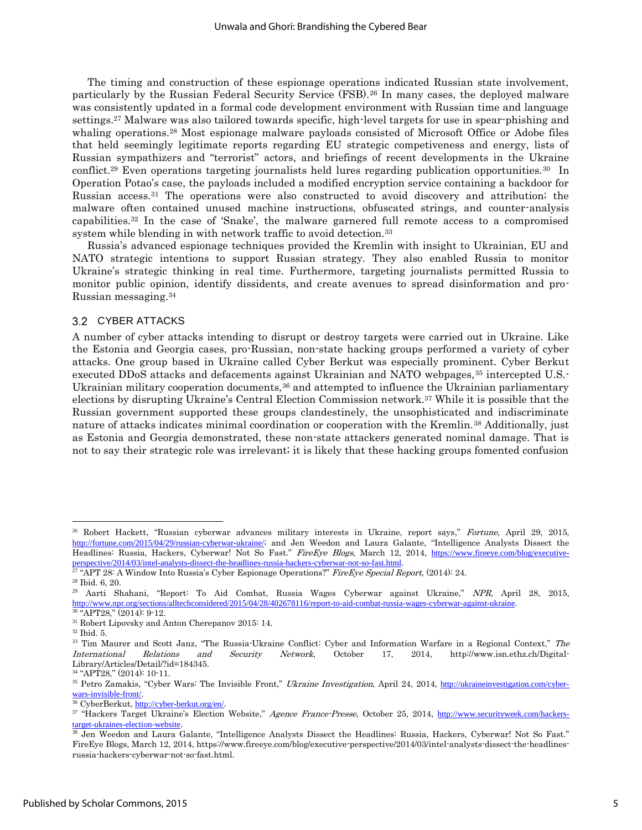The timing and construction of these espionage operations indicated Russian state involvement, particularly by the Russian Federal Security Service (FSB).<sup>26</sup> In many cases, the deployed malware was consistently updated in a formal code development environment with Russian time and language settings.<sup>27</sup> Malware was also tailored towards specific, high-level targets for use in spear-phishing and whaling operations.<sup>28</sup> Most espionage malware payloads consisted of Microsoft Office or Adobe files that held seemingly legitimate reports regarding EU strategic competiveness and energy, lists of Russian sympathizers and "terrorist" actors, and briefings of recent developments in the Ukraine conflict.<sup>29</sup> Even operations targeting journalists held lures regarding publication opportunities.<sup>30</sup> In Operation Potao's case, the payloads included a modified encryption service containing a backdoor for Russian access.<sup>31</sup> The operations were also constructed to avoid discovery and attribution; the malware often contained unused machine instructions, obfuscated strings, and counter-analysis capabilities.<sup>32</sup> In the case of 'Snake', the malware garnered full remote access to a compromised system while blending in with network traffic to avoid detection.<sup>33</sup>

Russia's advanced espionage techniques provided the Kremlin with insight to Ukrainian, EU and NATO strategic intentions to support Russian strategy. They also enabled Russia to monitor Ukraine's strategic thinking in real time. Furthermore, targeting journalists permitted Russia to monitor public opinion, identify dissidents, and create avenues to spread disinformation and pro-Russian messaging.<sup>34</sup>

#### 3.2 CYBER ATTACKS

A number of cyber attacks intending to disrupt or destroy targets were carried out in Ukraine. Like the Estonia and Georgia cases, pro-Russian, non-state hacking groups performed a variety of cyber attacks. One group based in Ukraine called Cyber Berkut was especially prominent. Cyber Berkut executed DDoS attacks and defacements against Ukrainian and NATO webpages,<sup>35</sup> intercepted U.S.-Ukrainian military cooperation documents, $36$  and attempted to influence the Ukrainian parliamentary elections by disrupting Ukraine's Central Election Commission network.<sup>37</sup> While it is possible that the Russian government supported these groups clandestinely, the unsophisticated and indiscriminate nature of attacks indicates minimal coordination or cooperation with the Kremlin.<sup>38</sup> Additionally, just as Estonia and Georgia demonstrated, these non-state attackers generated nominal damage. That is not to say their strategic role was irrelevant; it is likely that these hacking groups fomented confusion

<sup>&</sup>lt;sup>26</sup> Robert Hackett, "Russian cyberwar advances military interests in Ukraine, report says," Fortune, April 29, 2015, <http://fortune.com/2015/04/29/russian-cyberwar-ukraine/>; and Jen Weedon and Laura Galante, "Intelligence Analysts Dissect the Headlines: Russia, Hackers, Cyberwar! Not So Fast." FireEye Blogs, March 12, 2014, [https://www.fireeye.com/blog/executive](https://www.fireeye.com/blog/executive-perspective/2014/03/intel-analysts-dissect-the-headlines-russia-hackers-cyberwar-not-so-fast.html)[perspective/2014/03/intel-analysts-dissect-the-headlines-russia-hackers-cyberwar-not-so-fast.html](https://www.fireeye.com/blog/executive-perspective/2014/03/intel-analysts-dissect-the-headlines-russia-hackers-cyberwar-not-so-fast.html).

<sup>&</sup>lt;sup>27</sup> "APT 28: A Window Into Russia's Cyber Espionage Operations?" FireLye Special Report, (2014): 24.

<sup>28</sup> Ibid. 6, 20.

<sup>29</sup> Aarti Shahani, "Report: To Aid Combat, Russia Wages Cyberwar against Ukraine," NPR, April 28, 2015, <http://www.npr.org/sections/alltechconsidered/2015/04/28/402678116/report-to-aid-combat-russia-wages-cyberwar-against-ukraine>.  $30$  "APT28," (2014): 9-12.

<sup>31</sup> Robert Lipovsky and Anton Cherepanov 2015: 14.

<sup>32</sup> Ibid. 5.

<sup>&</sup>lt;sup>33</sup> Tim Maurer and Scott Janz, "The Russia-Ukraine Conflict: Cyber and Information Warfare in a Regional Context," The International Relations and Security Network, October 17, 2014, http://www.isn.ethz.ch/Digital-Library/Articles/Detail/?id=184345.

<sup>34</sup> "APT28," (2014): 10-11.

<sup>&</sup>lt;sup>35</sup> Petro Zamakis, "Cyber Wars: The Invisible Front," Ukraine Investigation, April 24, 2014, [http://ukraineinvestigation.com/cyber](http://ukraineinvestigation.com/cyber-wars-invisible-front/)[wars-invisible-front/](http://ukraineinvestigation.com/cyber-wars-invisible-front/).

<sup>&</sup>lt;sup>36</sup> CyberBerkut, <http://cyber-berkut.org/en/>.

<sup>&</sup>lt;sup>37</sup> "Hackers Target Ukraine's Election Website," Agence France-Presse, October 25, 2014, [http://www.securityweek.com/hackers](http://www.securityweek.com/hackers-target-ukraines-election-website)[target-ukraines-election-website](http://www.securityweek.com/hackers-target-ukraines-election-website).

<sup>&</sup>lt;sup>38</sup> Jen Weedon and Laura Galante, "Intelligence Analysts Dissect the Headlines: Russia, Hackers, Cyberwar! Not So Fast." FireEye Blogs, March 12, 2014, https://www.fireeye.com/blog/executive-perspective/2014/03/intel-analysts-dissect-the-headlinesrussia-hackers-cyberwar-not-so-fast.html.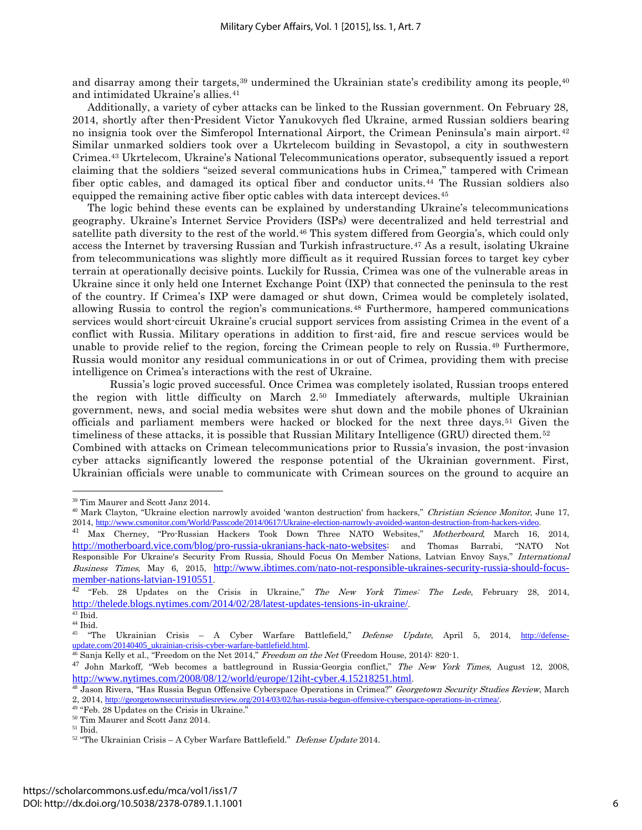and disarray among their targets,<sup>39</sup> undermined the Ukrainian state's credibility among its people,<sup>40</sup> and intimidated Ukraine's allies.<sup>41</sup>

Additionally, a variety of cyber attacks can be linked to the Russian government. On February 28, 2014, shortly after then-President Victor Yanukovych fled Ukraine, armed Russian soldiers bearing no insignia took over the Simferopol International Airport, the Crimean Peninsula's main airport.<sup>42</sup> Similar unmarked soldiers took over a Ukrtelecom building in Sevastopol, a city in southwestern Crimea.<sup>43</sup> Ukrtelecom, Ukraine's National Telecommunications operator, subsequently issued a report claiming that the soldiers "seized several communications hubs in Crimea," tampered with Crimean fiber optic cables, and damaged its optical fiber and conductor units.<sup>44</sup> The Russian soldiers also equipped the remaining active fiber optic cables with data intercept devices.<sup>45</sup>

The logic behind these events can be explained by understanding Ukraine's telecommunications geography. Ukraine's Internet Service Providers (ISPs) were decentralized and held terrestrial and satellite path diversity to the rest of the world.<sup>46</sup> This system differed from Georgia's, which could only access the Internet by traversing Russian and Turkish infrastructure.<sup>47</sup> As a result, isolating Ukraine from telecommunications was slightly more difficult as it required Russian forces to target key cyber terrain at operationally decisive points. Luckily for Russia, Crimea was one of the vulnerable areas in Ukraine since it only held one Internet Exchange Point (IXP) that connected the peninsula to the rest of the country. If Crimea's IXP were damaged or shut down, Crimea would be completely isolated, allowing Russia to control the region's communications.<sup>48</sup> Furthermore, hampered communications services would short-circuit Ukraine's crucial support services from assisting Crimea in the event of a conflict with Russia. Military operations in addition to first-aid, fire and rescue services would be unable to provide relief to the region, forcing the Crimean people to rely on Russia.<sup>49</sup> Furthermore, Russia would monitor any residual communications in or out of Crimea, providing them with precise intelligence on Crimea's interactions with the rest of Ukraine.

Russia's logic proved successful. Once Crimea was completely isolated, Russian troops entered the region with little difficulty on March 2.<sup>50</sup> Immediately afterwards, multiple Ukrainian government, news, and social media websites were shut down and the mobile phones of Ukrainian officials and parliament members were hacked or blocked for the next three days.<sup>51</sup> Given the timeliness of these attacks, it is possible that Russian Military Intelligence (GRU) directed them.<sup>52</sup> Combined with attacks on Crimean telecommunications prior to Russia's invasion, the post-invasion cyber attacks significantly lowered the response potential of the Ukrainian government. First, Ukrainian officials were unable to communicate with Crimean sources on the ground to acquire an

<sup>39</sup> Tim Maurer and Scott Janz 2014.

<sup>&</sup>lt;sup>40</sup> Mark Clayton, "Ukraine election narrowly avoided 'wanton destruction' from hackers," Christian Science Monitor, June 17, 2014, <http://www.csmonitor.com/World/Passcode/2014/0617/Ukraine-election-narrowly-avoided-wanton-destruction-from-hackers-video>.

<sup>&</sup>lt;sup>41</sup> Max Cherney, "Pro-Russian Hackers Took Down Three NATO Websites," *Motherboard*, March 16, 2014, <http://motherboard.vice.com/blog/pro-russia-ukranians-hack-nato-websites>; and Thomas Barrabi, "NATO Not Responsible For Ukraine's Security From Russia, Should Focus On Member Nations, Latvian Envoy Says," International Business Times, May 6, 2015, [http://www.ibtimes.com/nato-not-responsible-ukraines-security-russia-should-focus](http://www.ibtimes.com/nato-not-responsible-ukraines-security-russia-should-focus-member-nations-latvian-1910551)[member-nations-latvian-1910551](http://www.ibtimes.com/nato-not-responsible-ukraines-security-russia-should-focus-member-nations-latvian-1910551).

<sup>&</sup>lt;sup>42</sup> "Feb. 28 Updates on the Crisis in Ukraine," *The New York Times: The Lede*, February 28, 2014, <http://thelede.blogs.nytimes.com/2014/02/28/latest-updates-tensions-in-ukraine/>.

 $43$  Ibid.

 $44$  Ibid.

<sup>&</sup>lt;sup>45</sup> "The Ukrainian Crisis – A Cyber Warfare Battlefield," *Defense Update*, April 5, 2014, [http://defense](http://defense-update.com/20140405_ukrainian-crisis-cyber-warfare-battlefield.html)[update.com/20140405\\_ukrainian-crisis-cyber-warfare-battlefield.html](http://defense-update.com/20140405_ukrainian-crisis-cyber-warfare-battlefield.html).

 $^{46}$  Sanja Kelly et al., "Freedom on the Net 2014," Freedom on the Net (Freedom House, 2014): 820-1.

<sup>&</sup>lt;sup>47</sup> John Markoff, "Web becomes a battleground in Russia-Georgia conflict," The New York Times, August 12, 2008, <http://www.nytimes.com/2008/08/12/world/europe/12iht-cyber.4.15218251.html>.

<sup>&</sup>lt;sup>48</sup> Jason Rivera, "Has Russia Begun Offensive Cyberspace Operations in Crimea?" Georgetown Security Studies Review, March 2, 2014, <http://georgetownsecuritystudiesreview.org/2014/03/02/has-russia-begun-offensive-cyberspace-operations-in-crimea/>.

<sup>49</sup> "Feb. 28 Updates on the Crisis in Ukraine."

 $^{\rm 50}$  Tim Maurer and Scott Janz 2014.

 $^{\rm 51}$  Ibid.

 $52$  "The Ukrainian Crisis – A Cyber Warfare Battlefield." Defense Update 2014.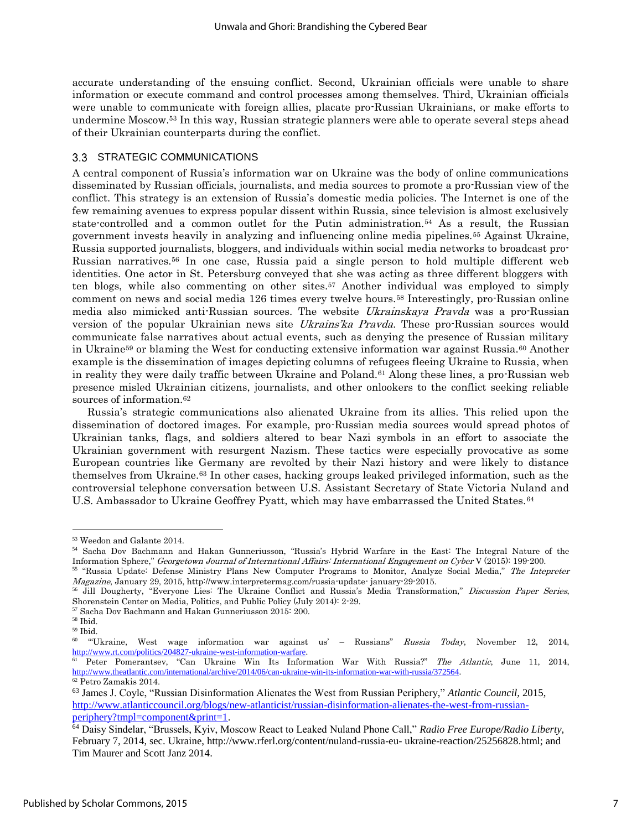accurate understanding of the ensuing conflict. Second, Ukrainian officials were unable to share information or execute command and control processes among themselves. Third, Ukrainian officials were unable to communicate with foreign allies, placate pro-Russian Ukrainians, or make efforts to undermine Moscow.<sup>53</sup> In this way, Russian strategic planners were able to operate several steps ahead of their Ukrainian counterparts during the conflict.

#### 3.3 STRATEGIC COMMUNICATIONS

A central component of Russia's information war on Ukraine was the body of online communications disseminated by Russian officials, journalists, and media sources to promote a pro-Russian view of the conflict. This strategy is an extension of Russia's domestic media policies. The Internet is one of the few remaining avenues to express popular dissent within Russia, since television is almost exclusively state-controlled and a common outlet for the Putin administration.<sup>54</sup> As a result, the Russian government invests heavily in analyzing and influencing online media pipelines.<sup>55</sup> Against Ukraine, Russia supported journalists, bloggers, and individuals within social media networks to broadcast pro-Russian narratives.<sup>56</sup> In one case, Russia paid a single person to hold multiple different web identities. One actor in St. Petersburg conveyed that she was acting as three different bloggers with ten blogs, while also commenting on other sites.<sup>57</sup> Another individual was employed to simply comment on news and social media 126 times every twelve hours.<sup>58</sup> Interestingly, pro-Russian online media also mimicked anti-Russian sources. The website Ukrainskaya Pravda was a pro-Russian version of the popular Ukrainian news site *Ukrains'ka Pravda*. These pro-Russian sources would communicate false narratives about actual events, such as denying the presence of Russian military in Ukraine<sup>59</sup> or blaming the West for conducting extensive information war against Russia.<sup>60</sup> Another example is the dissemination of images depicting columns of refugees fleeing Ukraine to Russia, when in reality they were daily traffic between Ukraine and Poland.<sup>61</sup> Along these lines, a pro-Russian web presence misled Ukrainian citizens, journalists, and other onlookers to the conflict seeking reliable sources of information.<sup>62</sup>

Russia's strategic communications also alienated Ukraine from its allies. This relied upon the dissemination of doctored images. For example, pro-Russian media sources would spread photos of Ukrainian tanks, flags, and soldiers altered to bear Nazi symbols in an effort to associate the Ukrainian government with resurgent Nazism. These tactics were especially provocative as some European countries like Germany are revolted by their Nazi history and were likely to distance themselves from Ukraine.<sup>63</sup> In other cases, hacking groups leaked privileged information, such as the controversial telephone conversation between U.S. Assistant Secretary of State Victoria Nuland and U.S. Ambassador to Ukraine Geoffrey Pyatt, which may have embarrassed the United States.<sup>64</sup>

<sup>57</sup> Sacha Dov Bachmann and Hakan Gunneriusson 2015: 200.

<sup>53</sup> Weedon and Galante 2014.

<sup>54</sup> Sacha Dov Bachmann and Hakan Gunneriusson, "Russia's Hybrid Warfare in the East: The Integral Nature of the Information Sphere," Georgetown Journal of International Affairs: International Engagement on Cyber V (2015): 199-200.

<sup>55</sup> "Russia Update: Defense Ministry Plans New Computer Programs to Monitor, Analyze Social Media," The Intepreter Magazine, January 29, 2015, http://www.interpretermag.com/russia-update- january-29-2015.

<sup>&</sup>lt;sup>56</sup> Jill Dougherty, "Everyone Lies: The Ukraine Conflict and Russia's Media Transformation," Discussion Paper Series, Shorenstein Center on Media, Politics, and Public Policy (July 2014): 2-29.

<sup>58</sup> Ibid.

<sup>59</sup> Ibid.

<sup>60</sup> "'Ukraine, West wage information war against us' – Russians" Russia Today, November 12, 2014, <http://www.rt.com/politics/204827-ukraine-west-information-warfare>.

<sup>&</sup>lt;sup>61</sup> Peter Pomerantsev, "Can Ukraine Win Its Information War With Russia?" The Atlantic, June 11, 2014, <http://www.theatlantic.com/international/archive/2014/06/can-ukraine-win-its-information-war-with-russia/372564>.  $62$  Petro Zamakis 2014.

<sup>63</sup> James J. Coyle, "Russian Disinformation Alienates the West from Russian Periphery," *Atlantic Council,* 2015, [http://www.atlanticcouncil.org/blogs/new-atlanticist/russian-disinformation-alienates-the-west-from-russian](http://www.atlanticcouncil.org/blogs/new-atlanticist/russian-disinformation-alienates-the-west-from-russian-periphery?tmpl=component&print=1)[periphery?tmpl=component&print=1.](http://www.atlanticcouncil.org/blogs/new-atlanticist/russian-disinformation-alienates-the-west-from-russian-periphery?tmpl=component&print=1)

<sup>64</sup> Daisy Sindelar, "Brussels, Kyiv, Moscow React to Leaked Nuland Phone Call," *Radio Free Europe/Radio Liberty*, February 7, 2014, sec. Ukraine, http://www.rferl.org/content/nuland-russia-eu- ukraine-reaction/25256828.html; and Tim Maurer and Scott Janz 2014.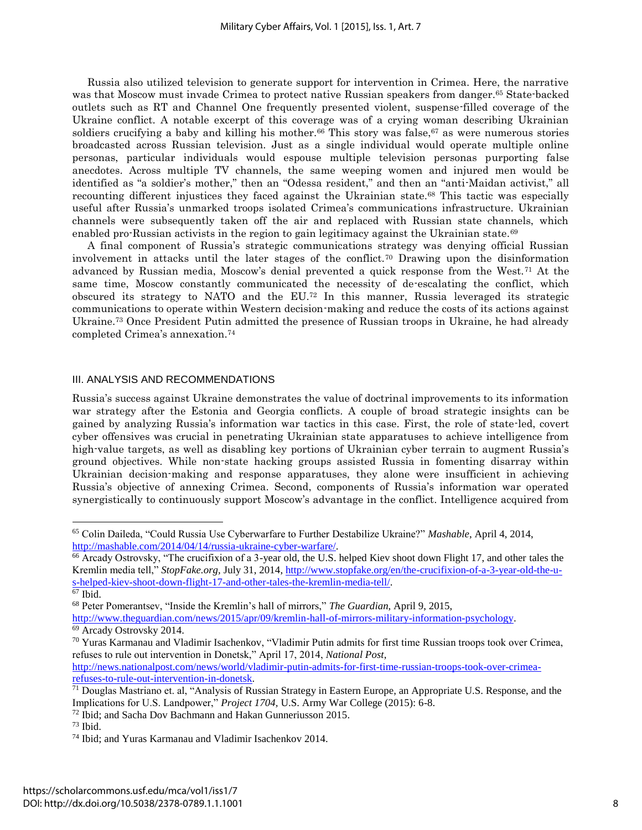Russia also utilized television to generate support for intervention in Crimea. Here, the narrative was that Moscow must invade Crimea to protect native Russian speakers from danger.<sup>65</sup> State-backed outlets such as RT and Channel One frequently presented violent, suspense-filled coverage of the Ukraine conflict. A notable excerpt of this coverage was of a crying woman describing Ukrainian soldiers crucifying a baby and killing his mother.<sup>66</sup> This story was false,  $67$  as were numerous stories broadcasted across Russian television. Just as a single individual would operate multiple online personas, particular individuals would espouse multiple television personas purporting false anecdotes. Across multiple TV channels, the same weeping women and injured men would be identified as "a soldier's mother," then an "Odessa resident," and then an "anti-Maidan activist," all recounting different injustices they faced against the Ukrainian state.<sup>68</sup> This tactic was especially useful after Russia's unmarked troops isolated Crimea's communications infrastructure. Ukrainian channels were subsequently taken off the air and replaced with Russian state channels, which enabled pro-Russian activists in the region to gain legitimacy against the Ukrainian state.<sup>69</sup>

A final component of Russia's strategic communications strategy was denying official Russian involvement in attacks until the later stages of the conflict.<sup>70</sup> Drawing upon the disinformation advanced by Russian media, Moscow's denial prevented a quick response from the West.<sup>71</sup> At the same time, Moscow constantly communicated the necessity of de-escalating the conflict, which obscured its strategy to NATO and the EU.<sup>72</sup> In this manner, Russia leveraged its strategic communications to operate within Western decision-making and reduce the costs of its actions against Ukraine.<sup>73</sup> Once President Putin admitted the presence of Russian troops in Ukraine, he had already completed Crimea's annexation.<sup>74</sup>

#### III. ANALYSIS AND RECOMMENDATIONS

Russia's success against Ukraine demonstrates the value of doctrinal improvements to its information war strategy after the Estonia and Georgia conflicts. A couple of broad strategic insights can be gained by analyzing Russia's information war tactics in this case. First, the role of state-led, covert cyber offensives was crucial in penetrating Ukrainian state apparatuses to achieve intelligence from high-value targets, as well as disabling key portions of Ukrainian cyber terrain to augment Russia's ground objectives. While non-state hacking groups assisted Russia in fomenting disarray within Ukrainian decision-making and response apparatuses, they alone were insufficient in achieving Russia's objective of annexing Crimea. Second, components of Russia's information war operated synergistically to continuously support Moscow's advantage in the conflict. Intelligence acquired from

 $\overline{a}$ 

[http://news.nationalpost.com/news/world/vladimir-putin-admits-for-first-time-russian-troops-took-over-crimea](http://news.nationalpost.com/news/world/vladimir-putin-admits-for-first-time-russian-troops-took-over-crimea-refuses-to-rule-out-intervention-in-donetsk)[refuses-to-rule-out-intervention-in-donetsk.](http://news.nationalpost.com/news/world/vladimir-putin-admits-for-first-time-russian-troops-took-over-crimea-refuses-to-rule-out-intervention-in-donetsk)

<sup>65</sup> Colin Daileda, "Could Russia Use Cyberwarfare to Further Destabilize Ukraine?" *Mashable*, April 4, 2014, [http://mashable.com/2014/04/14/russia-ukraine-cyber-warfare/.](http://mashable.com/2014/04/14/russia-ukraine-cyber-warfare/) 

<sup>66</sup> Arcady Ostrovsky, "The crucifixion of a 3-year old, the U.S. helped Kiev shoot down Flight 17, and other tales the Kremlin media tell," *StopFake.org,* July 31, 2014, [http://www.stopfake.org/en/the-crucifixion-of-a-3-year-old-the-u](http://www.stopfake.org/en/the-crucifixion-of-a-3-year-old-the-u-s-helped-kiev-shoot-down-flight-17-and-other-tales-the-kremlin-media-tell/)[s-helped-kiev-shoot-down-flight-17-and-other-tales-the-kremlin-media-tell/.](http://www.stopfake.org/en/the-crucifixion-of-a-3-year-old-the-u-s-helped-kiev-shoot-down-flight-17-and-other-tales-the-kremlin-media-tell/)

<sup>67</sup> Ibid.

<sup>68</sup> Peter Pomerantsev, "Inside the Kremlin's hall of mirrors," *The Guardian*, April 9, 2015,

[http://www.theguardian.com/news/2015/apr/09/kremlin-hall-of-mirrors-military-information-psychology.](http://www.theguardian.com/news/2015/apr/09/kremlin-hall-of-mirrors-military-information-psychology)

<sup>69</sup> Arcady Ostrovsky 2014.

 $70$  Yuras Karmanau and Vladimir Isachenkov, "Vladimir Putin admits for first time Russian troops took over Crimea, refuses to rule out intervention in Donetsk," April 17, 2014, *National Post*,

 $71$  Douglas Mastriano et. al, "Analysis of Russian Strategy in Eastern Europe, an Appropriate U.S. Response, and the Implications for U.S. Landpower," *Project 1704,* U.S. Army War College (2015): 6-8.

<sup>72</sup> Ibid; and Sacha Dov Bachmann and Hakan Gunneriusson 2015.

 $73$  Ibid.

<sup>74</sup> Ibid; and Yuras Karmanau and Vladimir Isachenkov 2014.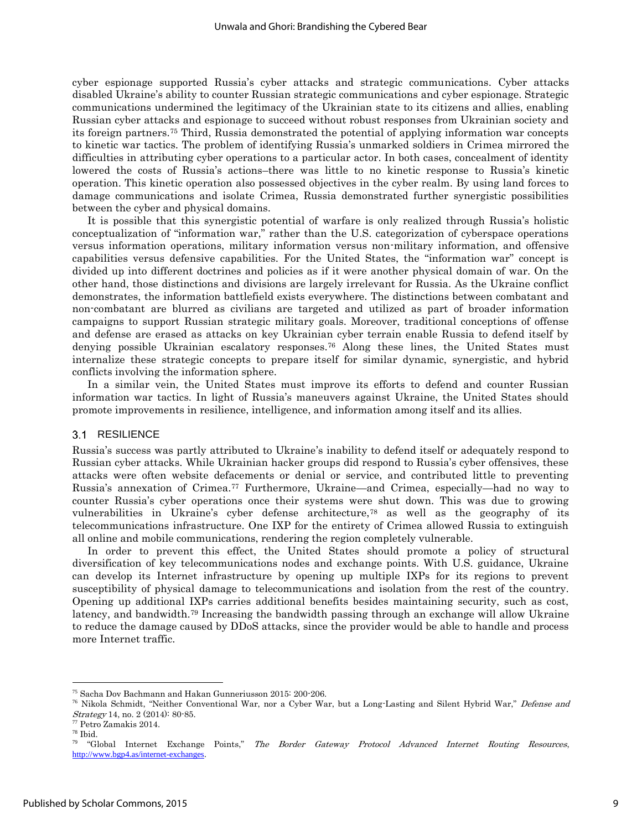cyber espionage supported Russia's cyber attacks and strategic communications. Cyber attacks disabled Ukraine's ability to counter Russian strategic communications and cyber espionage. Strategic communications undermined the legitimacy of the Ukrainian state to its citizens and allies, enabling Russian cyber attacks and espionage to succeed without robust responses from Ukrainian society and its foreign partners.<sup>75</sup> Third, Russia demonstrated the potential of applying information war concepts to kinetic war tactics. The problem of identifying Russia's unmarked soldiers in Crimea mirrored the difficulties in attributing cyber operations to a particular actor. In both cases, concealment of identity lowered the costs of Russia's actions–there was little to no kinetic response to Russia's kinetic operation. This kinetic operation also possessed objectives in the cyber realm. By using land forces to damage communications and isolate Crimea, Russia demonstrated further synergistic possibilities between the cyber and physical domains.

It is possible that this synergistic potential of warfare is only realized through Russia's holistic conceptualization of "information war," rather than the U.S. categorization of cyberspace operations versus information operations, military information versus non-military information, and offensive capabilities versus defensive capabilities. For the United States, the "information war" concept is divided up into different doctrines and policies as if it were another physical domain of war. On the other hand, those distinctions and divisions are largely irrelevant for Russia. As the Ukraine conflict demonstrates, the information battlefield exists everywhere. The distinctions between combatant and non-combatant are blurred as civilians are targeted and utilized as part of broader information campaigns to support Russian strategic military goals. Moreover, traditional conceptions of offense and defense are erased as attacks on key Ukrainian cyber terrain enable Russia to defend itself by denying possible Ukrainian escalatory responses.<sup>76</sup> Along these lines, the United States must internalize these strategic concepts to prepare itself for similar dynamic, synergistic, and hybrid conflicts involving the information sphere.

In a similar vein, the United States must improve its efforts to defend and counter Russian information war tactics. In light of Russia's maneuvers against Ukraine, the United States should promote improvements in resilience, intelligence, and information among itself and its allies.

#### 3.1 RESILIENCE

Russia's success was partly attributed to Ukraine's inability to defend itself or adequately respond to Russian cyber attacks. While Ukrainian hacker groups did respond to Russia's cyber offensives, these attacks were often website defacements or denial or service, and contributed little to preventing Russia's annexation of Crimea.<sup>77</sup> Furthermore, Ukraine—and Crimea, especially—had no way to counter Russia's cyber operations once their systems were shut down. This was due to growing vulnerabilities in Ukraine's cyber defense architecture,<sup>78</sup> as well as the geography of its telecommunications infrastructure. One IXP for the entirety of Crimea allowed Russia to extinguish all online and mobile communications, rendering the region completely vulnerable.

In order to prevent this effect, the United States should promote a policy of structural diversification of key telecommunications nodes and exchange points. With U.S. guidance, Ukraine can develop its Internet infrastructure by opening up multiple IXPs for its regions to prevent susceptibility of physical damage to telecommunications and isolation from the rest of the country. Opening up additional IXPs carries additional benefits besides maintaining security, such as cost, latency, and bandwidth.<sup>79</sup> Increasing the bandwidth passing through an exchange will allow Ukraine to reduce the damage caused by DDoS attacks, since the provider would be able to handle and process more Internet traffic.

<sup>75</sup> Sacha Dov Bachmann and Hakan Gunneriusson 2015: 200-206.

<sup>&</sup>lt;sup>76</sup> Nikola Schmidt, "Neither Conventional War, nor a Cyber War, but a Long-Lasting and Silent Hybrid War," Defense and Strategy 14, no. 2 (2014): 80-85.

<sup>77</sup> Petro Zamakis 2014.

<sup>78</sup> Ibid.

<sup>79</sup> "Global Internet Exchange Points," The Border Gateway Protocol Advanced Internet Routing Resources, <http://www.bgp4.as/internet-exchanges>.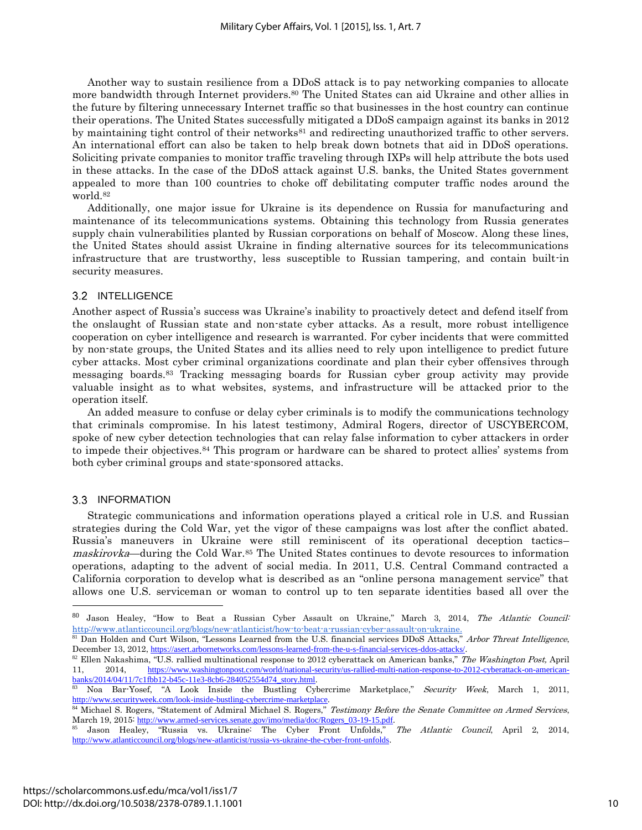Another way to sustain resilience from a DDoS attack is to pay networking companies to allocate more bandwidth through Internet providers.<sup>80</sup> The United States can aid Ukraine and other allies in the future by filtering unnecessary Internet traffic so that businesses in the host country can continue their operations. The United States successfully mitigated a DDoS campaign against its banks in 2012 by maintaining tight control of their networks<sup>81</sup> and redirecting unauthorized traffic to other servers. An international effort can also be taken to help break down botnets that aid in DDoS operations. Soliciting private companies to monitor traffic traveling through IXPs will help attribute the bots used in these attacks. In the case of the DDoS attack against U.S. banks, the United States government appealed to more than 100 countries to choke off debilitating computer traffic nodes around the world.<sup>82</sup>

Additionally, one major issue for Ukraine is its dependence on Russia for manufacturing and maintenance of its telecommunications systems. Obtaining this technology from Russia generates supply chain vulnerabilities planted by Russian corporations on behalf of Moscow. Along these lines, the United States should assist Ukraine in finding alternative sources for its telecommunications infrastructure that are trustworthy, less susceptible to Russian tampering, and contain built-in security measures.

#### 3.2 INTELLIGENCE

Another aspect of Russia's success was Ukraine's inability to proactively detect and defend itself from the onslaught of Russian state and non-state cyber attacks. As a result, more robust intelligence cooperation on cyber intelligence and research is warranted. For cyber incidents that were committed by non-state groups, the United States and its allies need to rely upon intelligence to predict future cyber attacks. Most cyber criminal organizations coordinate and plan their cyber offensives through messaging boards.<sup>83</sup> Tracking messaging boards for Russian cyber group activity may provide valuable insight as to what websites, systems, and infrastructure will be attacked prior to the operation itself.

An added measure to confuse or delay cyber criminals is to modify the communications technology that criminals compromise. In his latest testimony, Admiral Rogers, director of USCYBERCOM, spoke of new cyber detection technologies that can relay false information to cyber attackers in order to impede their objectives.<sup>84</sup> This program or hardware can be shared to protect allies' systems from both cyber criminal groups and state-sponsored attacks.

#### 3.3 INFORMATION

 $\overline{a}$ 

Strategic communications and information operations played a critical role in U.S. and Russian strategies during the Cold War, yet the vigor of these campaigns was lost after the conflict abated. Russia's maneuvers in Ukraine were still reminiscent of its operational deception tactics– maskirovka—during the Cold War.<sup>85</sup> The United States continues to devote resources to information operations, adapting to the advent of social media. In 2011, U.S. Central Command contracted a California corporation to develop what is described as an "online persona management service" that allows one U.S. serviceman or woman to control up to ten separate identities based all over the

Jason Healey, "How to Beat a Russian Cyber Assault on Ukraine," March 3, 2014, The Atlantic Council: [http://www.atlanticcouncil.org/blogs/new-atlanticist/how-to-beat-a-russian-cyber-assault-on-ukraine.](http://www.atlanticcouncil.org/blogs/new-atlanticist/how-to-beat-a-russian-cyber-assault-on-ukraine) 

<sup>81</sup> Dan Holden and Curt Wilson, "Lessons Learned from the U.S. financial services DDoS Attacks," Arbor Threat Intelligence, December 13, 2012, <https://asert.arbornetworks.com/lessons-learned-from-the-u-s-financial-services-ddos-attacks/>.

<sup>&</sup>lt;sup>82</sup> Ellen Nakashima, "U.S. rallied multinational response to 2012 cyberattack on American banks," The Washington Post, April 11, 2014, [https://www.washingtonpost.com/world/national-security/us-rallied-multi-nation-response-to-2012-cyberattack-on-american](https://www.washingtonpost.com/world/national-security/us-rallied-multi-nation-response-to-2012-cyberattack-on-american-banks/2014/04/11/7c1fbb12-b45c-11e3-8cb6-284052554d74_story.html)[banks/2014/04/11/7c1fbb12-b45c-11e3-8cb6-284052554d74\\_story.html](https://www.washingtonpost.com/world/national-security/us-rallied-multi-nation-response-to-2012-cyberattack-on-american-banks/2014/04/11/7c1fbb12-b45c-11e3-8cb6-284052554d74_story.html).

<sup>83</sup> Noa Bar-Yosef, "A Look Inside the Bustling Cybercrime Marketplace," Security Week, March 1, 2011, <http://www.securityweek.com/look-inside-bustling-cybercrime-marketplace>.

<sup>&</sup>lt;sup>84</sup> Michael S. Rogers, "Statement of Admiral Michael S. Rogers," Testimony Before the Senate Committee on Armed Services, March 19, 2015: [http://www.armed-services.senate.gov/imo/media/doc/Rogers\\_03-19-15.pdf](http://www.armed-services.senate.gov/imo/media/doc/Rogers_03-19-15.pdf).

<sup>&</sup>lt;sup>85</sup> Jason Healey, "Russia vs. Ukraine: The Cyber Front Unfolds," The Atlantic Council, April 2, 2014, <http://www.atlanticcouncil.org/blogs/new-atlanticist/russia-vs-ukraine-the-cyber-front-unfolds>.